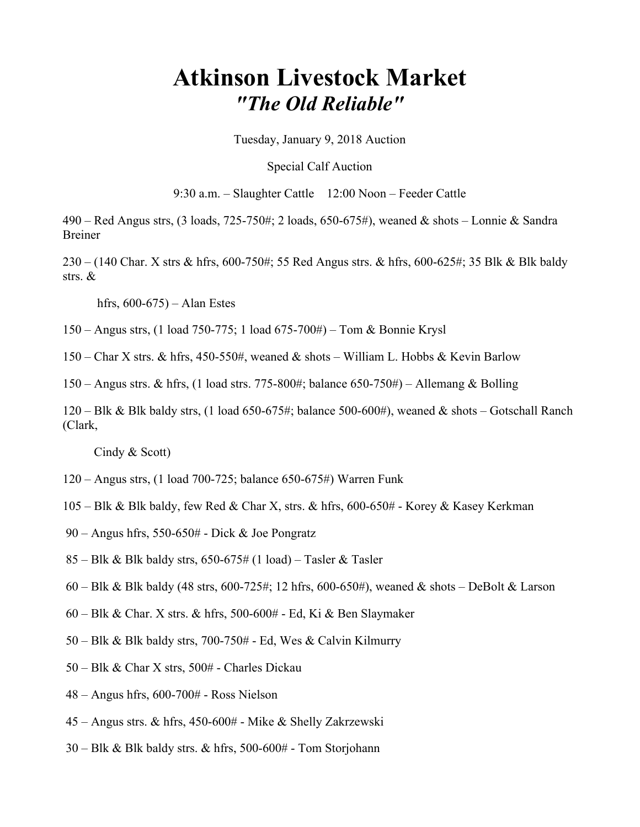## Atkinson Livestock Market "The Old Reliable"

Tuesday, January 9, 2018 Auction

Special Calf Auction

9:30 a.m. – Slaughter Cattle 12:00 Noon – Feeder Cattle

490 – Red Angus strs,  $(3 \text{ loads}, 725-750\text{#}; 2 \text{ loads}, 650-675\text{#})$ , weaned & shots – Lonnie & Sandra Breiner

230 – (140 Char. X strs & hfrs, 600-750#; 55 Red Angus strs. & hfrs, 600-625#; 35 Blk & Blk baldy strs. &

hfrs, 600-675) – Alan Estes

150 – Angus strs, (1 load 750-775; 1 load 675-700#) – Tom & Bonnie Krysl

150 – Char X strs. & hfrs, 450-550#, weaned & shots – William L. Hobbs & Kevin Barlow

150 – Angus strs. & hfrs, (1 load strs. 775-800#; balance 650-750#) – Allemang & Bolling

 $120 - \text{Blk} \& \text{Blk}$  baldy strs, (1 load 650-675#; balance 500-600#), weaned  $\&$  shots – Gotschall Ranch (Clark,

Cindy & Scott)

- 120 Angus strs, (1 load 700-725; balance 650-675#) Warren Funk
- 105 Blk & Blk baldy, few Red & Char X, strs. & hfrs, 600-650# Korey & Kasey Kerkman
- 90 Angus hfrs, 550-650# Dick & Joe Pongratz
- $85 B$ lk & Blk baldy strs,  $650 675$ # (1 load) Tasler & Tasler
- $60 \text{Blk} \& \text{Blk}$  baldy (48 strs,  $600 725\text{#}$ ; 12 hfrs,  $600 650\text{#}$ ), weaned & shots DeBolt & Larson
- 60 Blk & Char. X strs. & hfrs, 500-600# Ed, Ki & Ben Slaymaker
- 50 Blk & Blk baldy strs, 700-750# Ed, Wes & Calvin Kilmurry
- 50 Blk & Char X strs, 500# Charles Dickau
- 48 Angus hfrs, 600-700# Ross Nielson
- 45 Angus strs. & hfrs, 450-600# Mike & Shelly Zakrzewski
- 30 Blk & Blk baldy strs. & hfrs, 500-600# Tom Storjohann